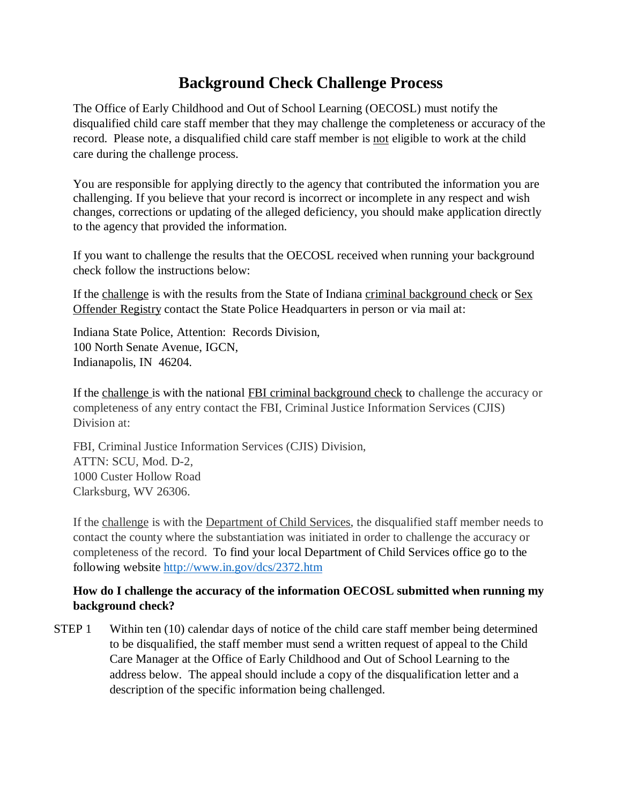## **Background Check Challenge Process**

The Office of Early Childhood and Out of School Learning (OECOSL) must notify the disqualified child care staff member that they may challenge the completeness or accuracy of the record. Please note, a disqualified child care staff member is not eligible to work at the child care during the challenge process.

You are responsible for applying directly to the agency that contributed the information you are challenging. If you believe that your record is incorrect or incomplete in any respect and wish changes, corrections or updating of the alleged deficiency, you should make application directly to the agency that provided the information.

If you want to challenge the results that the OECOSL received when running your background check follow the instructions below:

If the challenge is with the results from the State of Indiana criminal background check or Sex Offender Registry contact the State Police Headquarters in person or via mail at:

Indiana State Police, Attention: Records Division, 100 North Senate Avenue, IGCN, Indianapolis, IN 46204.

If the challenge is with the national FBI criminal background check to challenge the accuracy or completeness of any entry contact the FBI, Criminal Justice Information Services (CJIS) Division at:

FBI, Criminal Justice Information Services (CJIS) Division, ATTN: SCU, Mod. D-2, 1000 Custer Hollow Road Clarksburg, WV 26306.

If the challenge is with the Department of Child Services, the disqualified staff member needs to contact the county where the substantiation was initiated in order to challenge the accuracy or completeness of the record. To find your local Department of Child Services office go to the following website<http://www.in.gov/dcs/2372.htm>

## **How do I challenge the accuracy of the information OECOSL submitted when running my background check?**

STEP 1 Within ten (10) calendar days of notice of the child care staff member being determined to be disqualified, the staff member must send a written request of appeal to the Child Care Manager at the Office of Early Childhood and Out of School Learning to the address below. The appeal should include a copy of the disqualification letter and a description of the specific information being challenged.